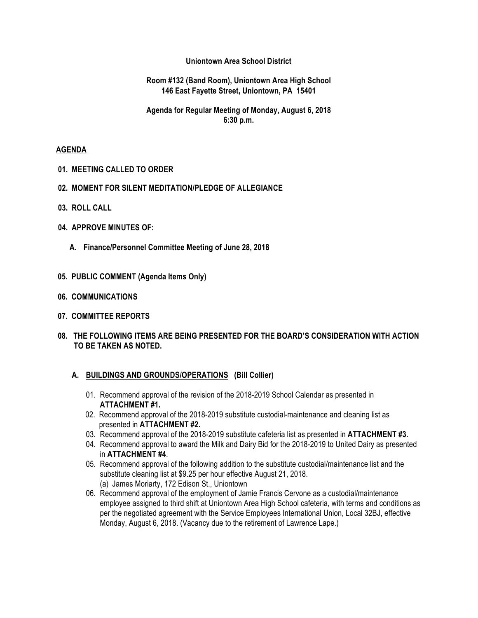## **Uniontown Area School District**

## **Room #132 (Band Room), Uniontown Area High School 146 East Fayette Street, Uniontown, PA 15401**

## **Agenda for Regular Meeting of Monday, August 6, 2018 6:30 p.m.**

### **AGENDA**

- **01. MEETING CALLED TO ORDER**
- **02. MOMENT FOR SILENT MEDITATION/PLEDGE OF ALLEGIANCE**
- **03. ROLL CALL**
- **04. APPROVE MINUTES OF:**
	- **A. Finance/Personnel Committee Meeting of June 28, 2018**
- **05. PUBLIC COMMENT (Agenda Items Only)**
- **06. COMMUNICATIONS**
- **07. COMMITTEE REPORTS**
- **08. THE FOLLOWING ITEMS ARE BEING PRESENTED FOR THE BOARD'S CONSIDERATION WITH ACTION TO BE TAKEN AS NOTED.**

#### **A. BUILDINGS AND GROUNDS/OPERATIONS (Bill Collier)**

- 01. Recommend approval of the revision of the 2018-2019 School Calendar as presented in **ATTACHMENT #1.**
- 02. Recommend approval of the 2018-2019 substitute custodial-maintenance and cleaning list as presented in **ATTACHMENT #2.**
- 03. Recommend approval of the 2018-2019 substitute cafeteria list as presented in **ATTACHMENT #3.**
- 04. Recommend approval to award the Milk and Dairy Bid for the 2018-2019 to United Dairy as presented in **ATTACHMENT #4**.
- 05. Recommend approval of the following addition to the substitute custodial/maintenance list and the substitute cleaning list at \$9.25 per hour effective August 21, 2018. (a) James Moriarty, 172 Edison St., Uniontown
- 06. Recommend approval of the employment of Jamie Francis Cervone as a custodial/maintenance employee assigned to third shift at Uniontown Area High School cafeteria, with terms and conditions as per the negotiated agreement with the Service Employees International Union, Local 32BJ, effective Monday, August 6, 2018. (Vacancy due to the retirement of Lawrence Lape.)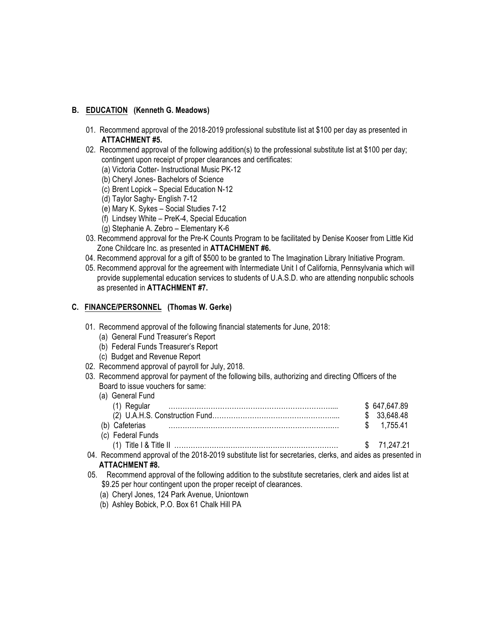## **B. EDUCATION (Kenneth G. Meadows)**

- 01. Recommend approval of the 2018-2019 professional substitute list at \$100 per day as presented in **ATTACHMENT #5.**
- 02. Recommend approval of the following addition(s) to the professional substitute list at \$100 per day; contingent upon receipt of proper clearances and certificates:
	- (a) Victoria Cotter- Instructional Music PK-12
	- (b) Cheryl Jones- Bachelors of Science
	- (c) Brent Lopick Special Education N-12
	- (d) Taylor Saghy- English 7-12
	- (e) Mary K. Sykes Social Studies 7-12
	- (f) Lindsey White PreK-4, Special Education
	- (g) Stephanie A. Zebro Elementary K-6
- 03. Recommend approval for the Pre-K Counts Program to be facilitated by Denise Kooser from Little Kid Zone Childcare Inc. as presented in **ATTACHMENT #6.**
- 04. Recommend approval for a gift of \$500 to be granted to The Imagination Library Initiative Program.
- 05. Recommend approval for the agreement with Intermediate Unit I of California, Pennsylvania which will provide supplemental education services to students of U.A.S.D. who are attending nonpublic schools as presented in **ATTACHMENT #7.**

## **C. FINANCE/PERSONNEL (Thomas W. Gerke)**

- 01. Recommend approval of the following financial statements for June, 2018:
	- (a) General Fund Treasurer's Report
	- (b) Federal Funds Treasurer's Report
	- (c) Budget and Revenue Report
- 02. Recommend approval of payroll for July, 2018.
- 03. Recommend approval for payment of the following bills, authorizing and directing Officers of the Board to issue vouchers for same:

| (a) General Fund    |              |
|---------------------|--------------|
| Regular             | \$647,647.89 |
|                     | \$33,648.48  |
| ' Cafeterias<br>(b) | 1 755 41     |
| (c) Federal Funds   |              |
| Title I & Title II  | \$ 71.247.21 |

04. Recommend approval of the 2018-2019 substitute list for secretaries, clerks, and aides as presented in **ATTACHMENT #8.**

- 05. Recommend approval of the following addition to the substitute secretaries, clerk and aides list at \$9.25 per hour contingent upon the proper receipt of clearances.
	- (a) Cheryl Jones, 124 Park Avenue, Uniontown
	- (b) Ashley Bobick, P.O. Box 61 Chalk Hill PA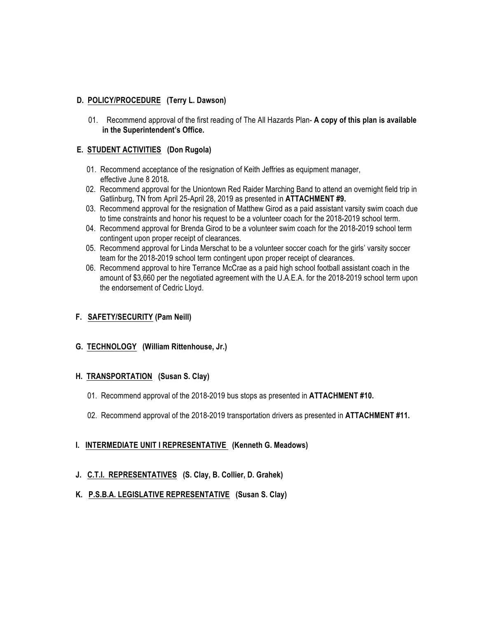# **D. POLICY/PROCEDURE (Terry L. Dawson)**

01. Recommend approval of the first reading of The All Hazards Plan- **A copy of this plan is available in the Superintendent's Office.**

# **E. STUDENT ACTIVITIES (Don Rugola)**

- 01. Recommend acceptance of the resignation of Keith Jeffries as equipment manager, effective June 8 2018**.**
- 02. Recommend approval for the Uniontown Red Raider Marching Band to attend an overnight field trip in Gatlinburg, TN from April 25-April 28, 2019 as presented in **ATTACHMENT #9.**
- 03. Recommend approval for the resignation of Matthew Girod as a paid assistant varsity swim coach due to time constraints and honor his request to be a volunteer coach for the 2018-2019 school term.
- 04. Recommend approval for Brenda Girod to be a volunteer swim coach for the 2018-2019 school term contingent upon proper receipt of clearances.
- 05. Recommend approval for Linda Merschat to be a volunteer soccer coach for the girls' varsity soccer team for the 2018-2019 school term contingent upon proper receipt of clearances.
- 06. Recommend approval to hire Terrance McCrae as a paid high school football assistant coach in the amount of \$3,660 per the negotiated agreement with the U.A.E.A. for the 2018-2019 school term upon the endorsement of Cedric Lloyd.

# **F. SAFETY/SECURITY (Pam Neill)**

 **G. TECHNOLOGY (William Rittenhouse, Jr.)**

# **H. TRANSPORTATION (Susan S. Clay)**

- 01. Recommend approval of the 2018-2019 bus stops as presented in **ATTACHMENT #10.**
- 02. Recommend approval of the 2018-2019 transportation drivers as presented in **ATTACHMENT #11.**

# **I. INTERMEDIATE UNIT I REPRESENTATIVE (Kenneth G. Meadows)**

# **J. C.T.I. REPRESENTATIVES (S. Clay, B. Collier, D. Grahek)**

 **K. P.S.B.A. LEGISLATIVE REPRESENTATIVE (Susan S. Clay)**